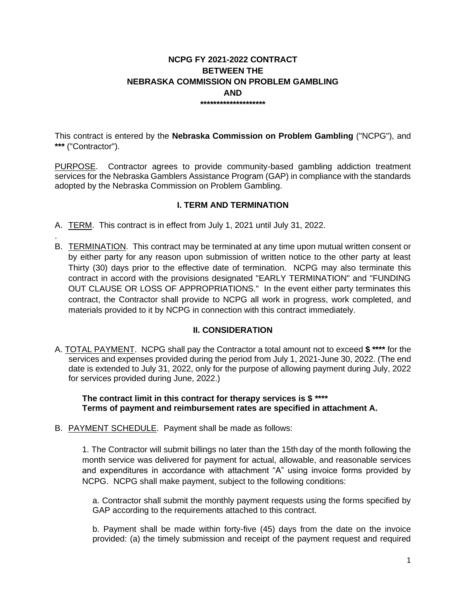### **NCPG FY 2021-2022 CONTRACT BETWEEN THE NEBRASKA COMMISSION ON PROBLEM GAMBLING AND \*\*\*\*\*\*\*\*\*\*\*\*\*\*\*\*\*\*\*\***

This contract is entered by the **Nebraska Commission on Problem Gambling** ("NCPG"), and **\*\*\*** ("Contractor").

PURPOSE. Contractor agrees to provide community-based gambling addiction treatment services for the Nebraska Gamblers Assistance Program (GAP) in compliance with the standards adopted by the Nebraska Commission on Problem Gambling.

# **I. TERM AND TERMINATION**

A. TERM. This contract is in effect from July 1, 2021 until July 31, 2022.

.

B. TERMINATION. This contract may be terminated at any time upon mutual written consent or by either party for any reason upon submission of written notice to the other party at least Thirty (30) days prior to the effective date of termination. NCPG may also terminate this contract in accord with the provisions designated "EARLY TERMINATION" and "FUNDING OUT CLAUSE OR LOSS OF APPROPRIATIONS." In the event either party terminates this contract, the Contractor shall provide to NCPG all work in progress, work completed, and materials provided to it by NCPG in connection with this contract immediately.

### **II. CONSIDERATION**

A. TOTAL PAYMENT. NCPG shall pay the Contractor a total amount not to exceed **\$ \*\*\*\*** for the services and expenses provided during the period from July 1, 2021-June 30, 2022. (The end date is extended to July 31, 2022, only for the purpose of allowing payment during July, 2022 for services provided during June, 2022.)

**The contract limit in this contract for therapy services is \$ \*\*\*\* Terms of payment and reimbursement rates are specified in attachment A.** 

B. PAYMENT SCHEDULE. Payment shall be made as follows:

1. The Contractor will submit billings no later than the 15th day of the month following the month service was delivered for payment for actual, allowable, and reasonable services and expenditures in accordance with attachment "A" using invoice forms provided by NCPG. NCPG shall make payment, subject to the following conditions:

a. Contractor shall submit the monthly payment requests using the forms specified by GAP according to the requirements attached to this contract.

b. Payment shall be made within forty-five (45) days from the date on the invoice provided: (a) the timely submission and receipt of the payment request and required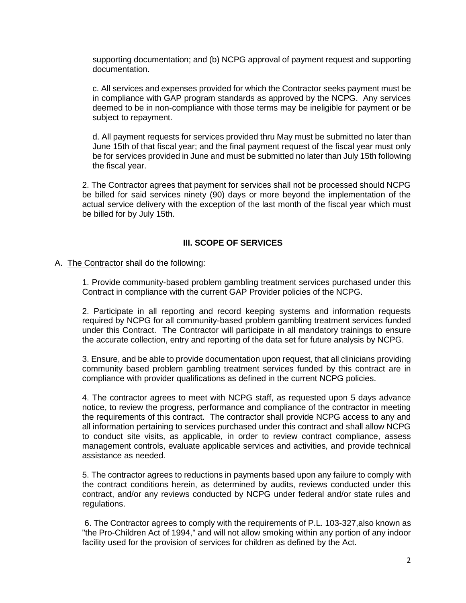supporting documentation; and (b) NCPG approval of payment request and supporting documentation.

c. All services and expenses provided for which the Contractor seeks payment must be in compliance with GAP program standards as approved by the NCPG. Any services deemed to be in non-compliance with those terms may be ineligible for payment or be subject to repayment.

d. All payment requests for services provided thru May must be submitted no later than June 15th of that fiscal year; and the final payment request of the fiscal year must only be for services provided in June and must be submitted no later than July 15th following the fiscal year.

2. The Contractor agrees that payment for services shall not be processed should NCPG be billed for said services ninety (90) days or more beyond the implementation of the actual service delivery with the exception of the last month of the fiscal year which must be billed for by July 15th.

### **III. SCOPE OF SERVICES**

#### A. The Contractor shall do the following:

1. Provide community-based problem gambling treatment services purchased under this Contract in compliance with the current GAP Provider policies of the NCPG.

2. Participate in all reporting and record keeping systems and information requests required by NCPG for all community-based problem gambling treatment services funded under this Contract. The Contractor will participate in all mandatory trainings to ensure the accurate collection, entry and reporting of the data set for future analysis by NCPG.

3. Ensure, and be able to provide documentation upon request, that all clinicians providing community based problem gambling treatment services funded by this contract are in compliance with provider qualifications as defined in the current NCPG policies.

4. The contractor agrees to meet with NCPG staff, as requested upon 5 days advance notice, to review the progress, performance and compliance of the contractor in meeting the requirements of this contract. The contractor shall provide NCPG access to any and all information pertaining to services purchased under this contract and shall allow NCPG to conduct site visits, as applicable, in order to review contract compliance, assess management controls, evaluate applicable services and activities, and provide technical assistance as needed.

5. The contractor agrees to reductions in payments based upon any failure to comply with the contract conditions herein, as determined by audits, reviews conducted under this contract, and/or any reviews conducted by NCPG under federal and/or state rules and regulations.

6. The Contractor agrees to comply with the requirements of P.L. 103-327,also known as "the Pro-Children Act of 1994," and will not allow smoking within any portion of any indoor facility used for the provision of services for children as defined by the Act.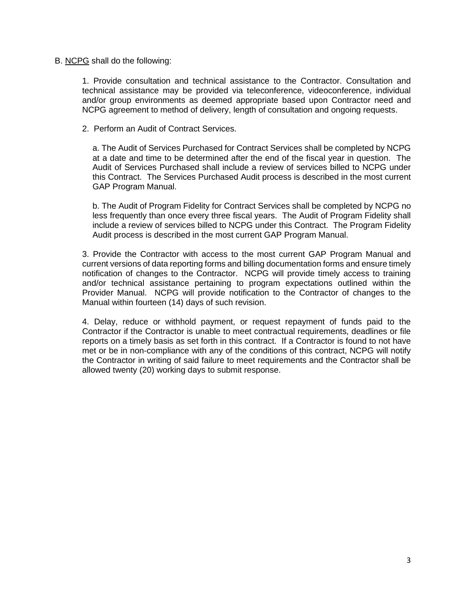#### B. NCPG shall do the following:

1. Provide consultation and technical assistance to the Contractor. Consultation and technical assistance may be provided via teleconference, videoconference, individual and/or group environments as deemed appropriate based upon Contractor need and NCPG agreement to method of delivery, length of consultation and ongoing requests.

2. Perform an Audit of Contract Services.

a. The Audit of Services Purchased for Contract Services shall be completed by NCPG at a date and time to be determined after the end of the fiscal year in question. The Audit of Services Purchased shall include a review of services billed to NCPG under this Contract. The Services Purchased Audit process is described in the most current GAP Program Manual.

b. The Audit of Program Fidelity for Contract Services shall be completed by NCPG no less frequently than once every three fiscal years. The Audit of Program Fidelity shall include a review of services billed to NCPG under this Contract. The Program Fidelity Audit process is described in the most current GAP Program Manual.

3. Provide the Contractor with access to the most current GAP Program Manual and current versions of data reporting forms and billing documentation forms and ensure timely notification of changes to the Contractor. NCPG will provide timely access to training and/or technical assistance pertaining to program expectations outlined within the Provider Manual. NCPG will provide notification to the Contractor of changes to the Manual within fourteen (14) days of such revision.

4. Delay, reduce or withhold payment, or request repayment of funds paid to the Contractor if the Contractor is unable to meet contractual requirements, deadlines or file reports on a timely basis as set forth in this contract. If a Contractor is found to not have met or be in non-compliance with any of the conditions of this contract, NCPG will notify the Contractor in writing of said failure to meet requirements and the Contractor shall be allowed twenty (20) working days to submit response.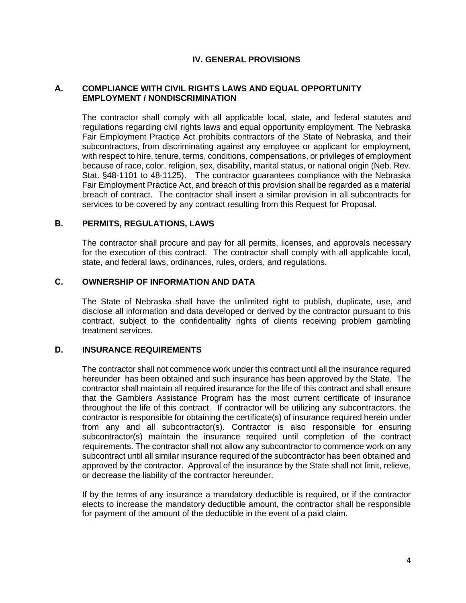#### **IV. GENERAL PROVISIONS**

#### **A. COMPLIANCE WITH CIVIL RIGHTS LAWS AND EQUAL OPPORTUNITY EMPLOYMENT / NONDISCRIMINATION**

The contractor shall comply with all applicable local, state, and federal statutes and regulations regarding civil rights laws and equal opportunity employment. The Nebraska Fair Employment Practice Act prohibits contractors of the State of Nebraska, and their subcontractors, from discriminating against any employee or applicant for employment, with respect to hire, tenure, terms, conditions, compensations, or privileges of employment because of race, color, religion, sex, disability, marital status, or national origin (Neb. Rev. Stat. §48-1101 to 48-1125). The contractor guarantees compliance with the Nebraska Fair Employment Practice Act, and breach of this provision shall be regarded as a material breach of contract. The contractor shall insert a similar provision in all subcontracts for services to be covered by any contract resulting from this Request for Proposal.

#### **B. PERMITS, REGULATIONS, LAWS**

The contractor shall procure and pay for all permits, licenses, and approvals necessary for the execution of this contract. The contractor shall comply with all applicable local, state, and federal laws, ordinances, rules, orders, and regulations.

# **C. OWNERSHIP OF INFORMATION AND DATA**

The State of Nebraska shall have the unlimited right to publish, duplicate, use, and disclose all information and data developed or derived by the contractor pursuant to this contract, subject to the confidentiality rights of clients receiving problem gambling treatment services.

#### **D. INSURANCE REQUIREMENTS**

The contractor shall not commence work under this contract until all the insurance required hereunder has been obtained and such insurance has been approved by the State. The contractor shall maintain all required insurance for the life of this contract and shall ensure that the Gamblers Assistance Program has the most current certificate of insurance throughout the life of this contract. If contractor will be utilizing any subcontractors, the contractor is responsible for obtaining the certificate(s) of insurance required herein under from any and all subcontractor(s). Contractor is also responsible for ensuring subcontractor(s) maintain the insurance required until completion of the contract requirements. The contractor shall not allow any subcontractor to commence work on any subcontract until all similar insurance required of the subcontractor has been obtained and approved by the contractor. Approval of the insurance by the State shall not limit, relieve, or decrease the liability of the contractor hereunder.

If by the terms of any insurance a mandatory deductible is required, or if the contractor elects to increase the mandatory deductible amount, the contractor shall be responsible for payment of the amount of the deductible in the event of a paid claim.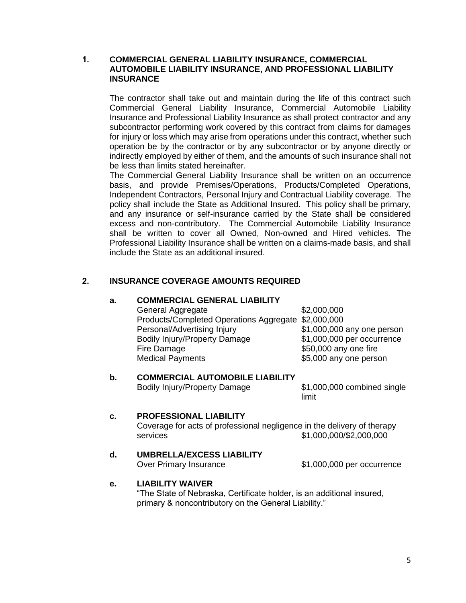#### **1. COMMERCIAL GENERAL LIABILITY INSURANCE, COMMERCIAL AUTOMOBILE LIABILITY INSURANCE, AND PROFESSIONAL LIABILITY INSURANCE**

The contractor shall take out and maintain during the life of this contract such Commercial General Liability Insurance, Commercial Automobile Liability Insurance and Professional Liability Insurance as shall protect contractor and any subcontractor performing work covered by this contract from claims for damages for injury or loss which may arise from operations under this contract, whether such operation be by the contractor or by any subcontractor or by anyone directly or indirectly employed by either of them, and the amounts of such insurance shall not be less than limits stated hereinafter.

The Commercial General Liability Insurance shall be written on an occurrence basis, and provide Premises/Operations, Products/Completed Operations, Independent Contractors, Personal Injury and Contractual Liability coverage. The policy shall include the State as Additional Insured. This policy shall be primary, and any insurance or self-insurance carried by the State shall be considered excess and non-contributory. The Commercial Automobile Liability Insurance shall be written to cover all Owned, Non-owned and Hired vehicles. The Professional Liability Insurance shall be written on a claims-made basis, and shall include the State as an additional insured.

# **2. INSURANCE COVERAGE AMOUNTS REQUIRED**

#### **a. COMMERCIAL GENERAL LIABILITY**

General Aggregate \$2,000,000 Products/Completed Operations Aggregate \$2,000,000 Personal/Advertising Injury \$1,000,000 any one person Bodily Injury/Property Damage \$1,000,000 per occurrence Fire Damage  $$50,000$  any one fire Medical Payments 65,000 any one person

## **b. COMMERCIAL AUTOMOBILE LIABILITY**

Bodily Injury/Property Damage \$1,000,000 combined single

limit

# **c. PROFESSIONAL LIABILITY**

Coverage for acts of professional negligence in the delivery of therapy services \$1,000,000/\$2,000,000

### **d. UMBRELLA/EXCESS LIABILITY**

Over Primary Insurance  $$1,000,000$  per occurrence

#### **e. LIABILITY WAIVER**

"The State of Nebraska, Certificate holder, is an additional insured, primary & noncontributory on the General Liability."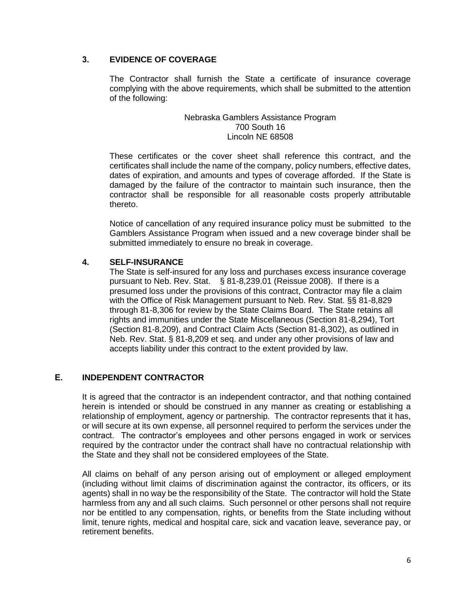### **3. EVIDENCE OF COVERAGE**

The Contractor shall furnish the State a certificate of insurance coverage complying with the above requirements, which shall be submitted to the attention of the following:

#### Nebraska Gamblers Assistance Program 700 South 16 Lincoln NE 68508

These certificates or the cover sheet shall reference this contract, and the certificates shall include the name of the company, policy numbers, effective dates, dates of expiration, and amounts and types of coverage afforded. If the State is damaged by the failure of the contractor to maintain such insurance, then the contractor shall be responsible for all reasonable costs properly attributable thereto.

Notice of cancellation of any required insurance policy must be submitted to the Gamblers Assistance Program when issued and a new coverage binder shall be submitted immediately to ensure no break in coverage.

# **4. SELF-INSURANCE**

The State is self-insured for any loss and purchases excess insurance coverage pursuant to Neb. Rev. Stat. § 81-8,239.01 (Reissue 2008). If there is a presumed loss under the provisions of this contract, Contractor may file a claim with the Office of Risk Management pursuant to Neb. Rev. Stat. §§ 81-8,829 through 81-8,306 for review by the State Claims Board. The State retains all rights and immunities under the State Miscellaneous (Section 81-8,294), Tort (Section 81-8,209), and Contract Claim Acts (Section 81-8,302), as outlined in Neb. Rev. Stat. § 81-8,209 et seq. and under any other provisions of law and accepts liability under this contract to the extent provided by law.

## **E. INDEPENDENT CONTRACTOR**

It is agreed that the contractor is an independent contractor, and that nothing contained herein is intended or should be construed in any manner as creating or establishing a relationship of employment, agency or partnership. The contractor represents that it has, or will secure at its own expense, all personnel required to perform the services under the contract. The contractor's employees and other persons engaged in work or services required by the contractor under the contract shall have no contractual relationship with the State and they shall not be considered employees of the State.

All claims on behalf of any person arising out of employment or alleged employment (including without limit claims of discrimination against the contractor, its officers, or its agents) shall in no way be the responsibility of the State. The contractor will hold the State harmless from any and all such claims. Such personnel or other persons shall not require nor be entitled to any compensation, rights, or benefits from the State including without limit, tenure rights, medical and hospital care, sick and vacation leave, severance pay, or retirement benefits.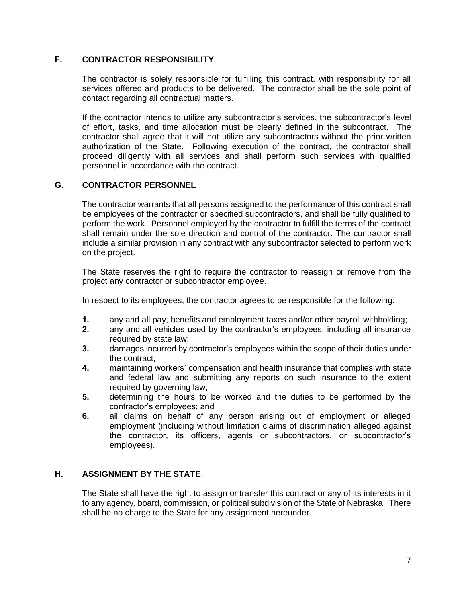### **F. CONTRACTOR RESPONSIBILITY**

The contractor is solely responsible for fulfilling this contract, with responsibility for all services offered and products to be delivered. The contractor shall be the sole point of contact regarding all contractual matters.

If the contractor intends to utilize any subcontractor's services, the subcontractor's level of effort, tasks, and time allocation must be clearly defined in the subcontract. The contractor shall agree that it will not utilize any subcontractors without the prior written authorization of the State. Following execution of the contract, the contractor shall proceed diligently with all services and shall perform such services with qualified personnel in accordance with the contract.

### **G. CONTRACTOR PERSONNEL**

The contractor warrants that all persons assigned to the performance of this contract shall be employees of the contractor or specified subcontractors, and shall be fully qualified to perform the work. Personnel employed by the contractor to fulfill the terms of the contract shall remain under the sole direction and control of the contractor. The contractor shall include a similar provision in any contract with any subcontractor selected to perform work on the project.

The State reserves the right to require the contractor to reassign or remove from the project any contractor or subcontractor employee.

In respect to its employees, the contractor agrees to be responsible for the following:

- **1.** any and all pay, benefits and employment taxes and/or other payroll withholding;
- **2.** any and all vehicles used by the contractor's employees, including all insurance required by state law;
- **3.** damages incurred by contractor's employees within the scope of their duties under the contract;
- **4.** maintaining workers' compensation and health insurance that complies with state and federal law and submitting any reports on such insurance to the extent required by governing law;
- **5.** determining the hours to be worked and the duties to be performed by the contractor's employees; and
- **6.** all claims on behalf of any person arising out of employment or alleged employment (including without limitation claims of discrimination alleged against the contractor, its officers, agents or subcontractors, or subcontractor's employees).

# **H. ASSIGNMENT BY THE STATE**

The State shall have the right to assign or transfer this contract or any of its interests in it to any agency, board, commission, or political subdivision of the State of Nebraska. There shall be no charge to the State for any assignment hereunder.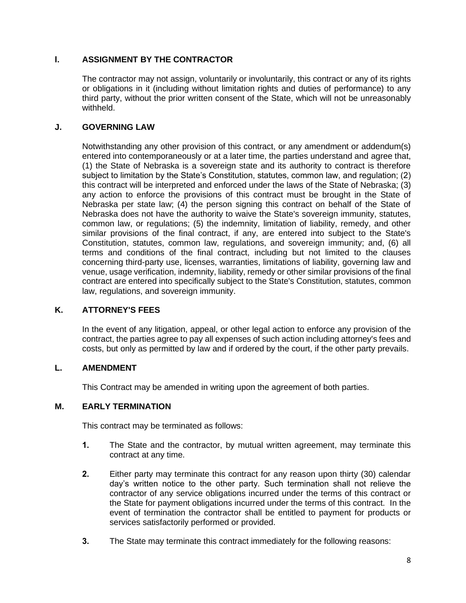# **I. ASSIGNMENT BY THE CONTRACTOR**

The contractor may not assign, voluntarily or involuntarily, this contract or any of its rights or obligations in it (including without limitation rights and duties of performance) to any third party, without the prior written consent of the State, which will not be unreasonably withheld.

### **J. GOVERNING LAW**

Notwithstanding any other provision of this contract, or any amendment or addendum(s) entered into contemporaneously or at a later time, the parties understand and agree that, (1) the State of Nebraska is a sovereign state and its authority to contract is therefore subject to limitation by the State's Constitution, statutes, common law, and regulation; (2) this contract will be interpreted and enforced under the laws of the State of Nebraska; (3) any action to enforce the provisions of this contract must be brought in the State of Nebraska per state law; (4) the person signing this contract on behalf of the State of Nebraska does not have the authority to waive the State's sovereign immunity, statutes, common law, or regulations; (5) the indemnity, limitation of liability, remedy, and other similar provisions of the final contract, if any, are entered into subject to the State's Constitution, statutes, common law, regulations, and sovereign immunity; and, (6) all terms and conditions of the final contract, including but not limited to the clauses concerning third-party use, licenses, warranties, limitations of liability, governing law and venue, usage verification, indemnity, liability, remedy or other similar provisions of the final contract are entered into specifically subject to the State's Constitution, statutes, common law, regulations, and sovereign immunity.

# **K. ATTORNEY'S FEES**

In the event of any litigation, appeal, or other legal action to enforce any provision of the contract, the parties agree to pay all expenses of such action including attorney's fees and costs, but only as permitted by law and if ordered by the court, if the other party prevails.

### **L. AMENDMENT**

This Contract may be amended in writing upon the agreement of both parties.

## **M. EARLY TERMINATION**

This contract may be terminated as follows:

- **1.** The State and the contractor, by mutual written agreement, may terminate this contract at any time.
- **2.** Either party may terminate this contract for any reason upon thirty (30) calendar day's written notice to the other party. Such termination shall not relieve the contractor of any service obligations incurred under the terms of this contract or the State for payment obligations incurred under the terms of this contract. In the event of termination the contractor shall be entitled to payment for products or services satisfactorily performed or provided.
- **3.** The State may terminate this contract immediately for the following reasons: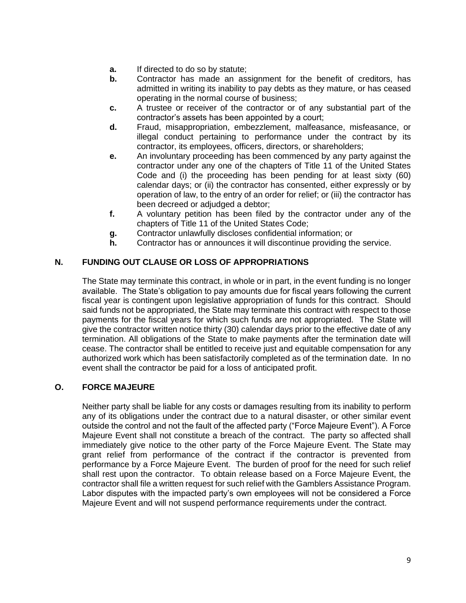- **a.** If directed to do so by statute;
- **b.** Contractor has made an assignment for the benefit of creditors, has admitted in writing its inability to pay debts as they mature, or has ceased operating in the normal course of business;
- **c.** A trustee or receiver of the contractor or of any substantial part of the contractor's assets has been appointed by a court;
- **d.** Fraud, misappropriation, embezzlement, malfeasance, misfeasance, or illegal conduct pertaining to performance under the contract by its contractor, its employees, officers, directors, or shareholders;
- **e.** An involuntary proceeding has been commenced by any party against the contractor under any one of the chapters of Title 11 of the United States Code and (i) the proceeding has been pending for at least sixty (60) calendar days; or (ii) the contractor has consented, either expressly or by operation of law, to the entry of an order for relief; or (iii) the contractor has been decreed or adjudged a debtor;
- **f.** A voluntary petition has been filed by the contractor under any of the chapters of Title 11 of the United States Code;
- **g.** Contractor unlawfully discloses confidential information; or
- **h.** Contractor has or announces it will discontinue providing the service.

### **N. FUNDING OUT CLAUSE OR LOSS OF APPROPRIATIONS**

The State may terminate this contract, in whole or in part, in the event funding is no longer available. The State's obligation to pay amounts due for fiscal years following the current fiscal year is contingent upon legislative appropriation of funds for this contract. Should said funds not be appropriated, the State may terminate this contract with respect to those payments for the fiscal years for which such funds are not appropriated. The State will give the contractor written notice thirty (30) calendar days prior to the effective date of any termination. All obligations of the State to make payments after the termination date will cease. The contractor shall be entitled to receive just and equitable compensation for any authorized work which has been satisfactorily completed as of the termination date. In no event shall the contractor be paid for a loss of anticipated profit.

### **O. FORCE MAJEURE**

Neither party shall be liable for any costs or damages resulting from its inability to perform any of its obligations under the contract due to a natural disaster, or other similar event outside the control and not the fault of the affected party ("Force Majeure Event"). A Force Majeure Event shall not constitute a breach of the contract. The party so affected shall immediately give notice to the other party of the Force Majeure Event. The State may grant relief from performance of the contract if the contractor is prevented from performance by a Force Majeure Event. The burden of proof for the need for such relief shall rest upon the contractor. To obtain release based on a Force Majeure Event, the contractor shall file a written request for such relief with the Gamblers Assistance Program. Labor disputes with the impacted party's own employees will not be considered a Force Majeure Event and will not suspend performance requirements under the contract.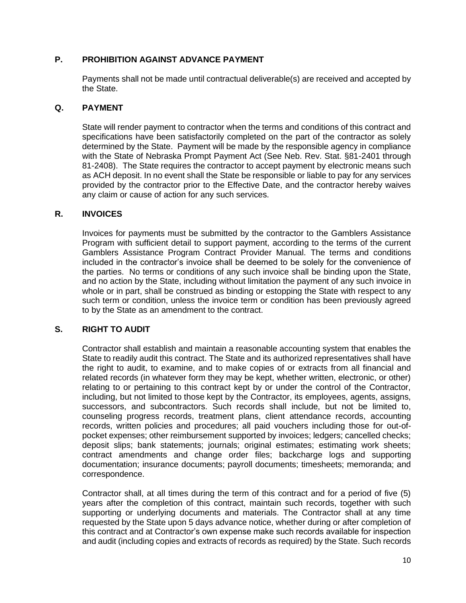## **P. PROHIBITION AGAINST ADVANCE PAYMENT**

Payments shall not be made until contractual deliverable(s) are received and accepted by the State.

#### **Q. PAYMENT**

State will render payment to contractor when the terms and conditions of this contract and specifications have been satisfactorily completed on the part of the contractor as solely determined by the State. Payment will be made by the responsible agency in compliance with the State of Nebraska Prompt Payment Act (See Neb. Rev. Stat. §81-2401 through 81-2408). The State requires the contractor to accept payment by electronic means such as ACH deposit. In no event shall the State be responsible or liable to pay for any services provided by the contractor prior to the Effective Date, and the contractor hereby waives any claim or cause of action for any such services.

#### **R. INVOICES**

Invoices for payments must be submitted by the contractor to the Gamblers Assistance Program with sufficient detail to support payment, according to the terms of the current Gamblers Assistance Program Contract Provider Manual. The terms and conditions included in the contractor's invoice shall be deemed to be solely for the convenience of the parties. No terms or conditions of any such invoice shall be binding upon the State, and no action by the State, including without limitation the payment of any such invoice in whole or in part, shall be construed as binding or estopping the State with respect to any such term or condition, unless the invoice term or condition has been previously agreed to by the State as an amendment to the contract.

### **S. RIGHT TO AUDIT**

Contractor shall establish and maintain a reasonable accounting system that enables the State to readily audit this contract. The State and its authorized representatives shall have the right to audit, to examine, and to make copies of or extracts from all financial and related records (in whatever form they may be kept, whether written, electronic, or other) relating to or pertaining to this contract kept by or under the control of the Contractor, including, but not limited to those kept by the Contractor, its employees, agents, assigns, successors, and subcontractors. Such records shall include, but not be limited to, counseling progress records, treatment plans, client attendance records, accounting records, written policies and procedures; all paid vouchers including those for out-ofpocket expenses; other reimbursement supported by invoices; ledgers; cancelled checks; deposit slips; bank statements; journals; original estimates; estimating work sheets; contract amendments and change order files; backcharge logs and supporting documentation; insurance documents; payroll documents; timesheets; memoranda; and correspondence.

Contractor shall, at all times during the term of this contract and for a period of five (5) years after the completion of this contract, maintain such records, together with such supporting or underlying documents and materials. The Contractor shall at any time requested by the State upon 5 days advance notice, whether during or after completion of this contract and at Contractor's own expense make such records available for inspection and audit (including copies and extracts of records as required) by the State. Such records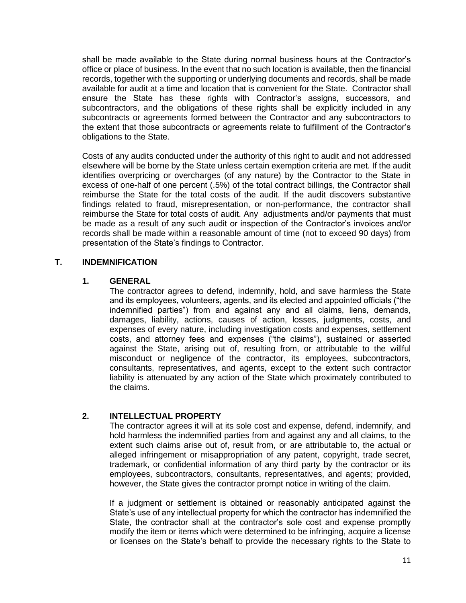shall be made available to the State during normal business hours at the Contractor's office or place of business. In the event that no such location is available, then the financial records, together with the supporting or underlying documents and records, shall be made available for audit at a time and location that is convenient for the State. Contractor shall ensure the State has these rights with Contractor's assigns, successors, and subcontractors, and the obligations of these rights shall be explicitly included in any subcontracts or agreements formed between the Contractor and any subcontractors to the extent that those subcontracts or agreements relate to fulfillment of the Contractor's obligations to the State.

Costs of any audits conducted under the authority of this right to audit and not addressed elsewhere will be borne by the State unless certain exemption criteria are met. If the audit identifies overpricing or overcharges (of any nature) by the Contractor to the State in excess of one-half of one percent (.5%) of the total contract billings, the Contractor shall reimburse the State for the total costs of the audit. If the audit discovers substantive findings related to fraud, misrepresentation, or non-performance, the contractor shall reimburse the State for total costs of audit. Any adjustments and/or payments that must be made as a result of any such audit or inspection of the Contractor's invoices and/or records shall be made within a reasonable amount of time (not to exceed 90 days) from presentation of the State's findings to Contractor.

# **T. INDEMNIFICATION**

#### **1. GENERAL**

The contractor agrees to defend, indemnify, hold, and save harmless the State and its employees, volunteers, agents, and its elected and appointed officials ("the indemnified parties") from and against any and all claims, liens, demands, damages, liability, actions, causes of action, losses, judgments, costs, and expenses of every nature, including investigation costs and expenses, settlement costs, and attorney fees and expenses ("the claims"), sustained or asserted against the State, arising out of, resulting from, or attributable to the willful misconduct or negligence of the contractor, its employees, subcontractors, consultants, representatives, and agents, except to the extent such contractor liability is attenuated by any action of the State which proximately contributed to the claims.

### **2. INTELLECTUAL PROPERTY**

The contractor agrees it will at its sole cost and expense, defend, indemnify, and hold harmless the indemnified parties from and against any and all claims, to the extent such claims arise out of, result from, or are attributable to, the actual or alleged infringement or misappropriation of any patent, copyright, trade secret, trademark, or confidential information of any third party by the contractor or its employees, subcontractors, consultants, representatives, and agents; provided, however, the State gives the contractor prompt notice in writing of the claim.

If a judgment or settlement is obtained or reasonably anticipated against the State's use of any intellectual property for which the contractor has indemnified the State, the contractor shall at the contractor's sole cost and expense promptly modify the item or items which were determined to be infringing, acquire a license or licenses on the State's behalf to provide the necessary rights to the State to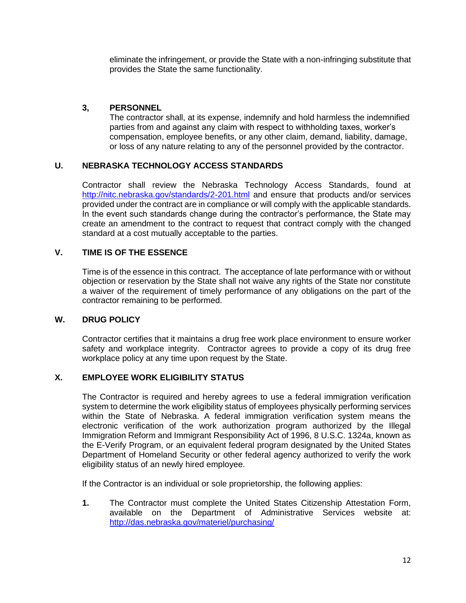eliminate the infringement, or provide the State with a non-infringing substitute that provides the State the same functionality.

## **3, PERSONNEL**

The contractor shall, at its expense, indemnify and hold harmless the indemnified parties from and against any claim with respect to withholding taxes, worker's compensation, employee benefits, or any other claim, demand, liability, damage, or loss of any nature relating to any of the personnel provided by the contractor.

# **U. NEBRASKA TECHNOLOGY ACCESS STANDARDS**

Contractor shall review the Nebraska Technology Access Standards, found at <http://nitc.nebraska.gov/standards/2-201.html> and ensure that products and/or services provided under the contract are in compliance or will comply with the applicable standards. In the event such standards change during the contractor's performance, the State may create an amendment to the contract to request that contract comply with the changed standard at a cost mutually acceptable to the parties.

# **V. TIME IS OF THE ESSENCE**

Time is of the essence in this contract. The acceptance of late performance with or without objection or reservation by the State shall not waive any rights of the State nor constitute a waiver of the requirement of timely performance of any obligations on the part of the contractor remaining to be performed.

### **W. DRUG POLICY**

Contractor certifies that it maintains a drug free work place environment to ensure worker safety and workplace integrity. Contractor agrees to provide a copy of its drug free workplace policy at any time upon request by the State.

## **X. EMPLOYEE WORK ELIGIBILITY STATUS**

The Contractor is required and hereby agrees to use a federal immigration verification system to determine the work eligibility status of employees physically performing services within the State of Nebraska. A federal immigration verification system means the electronic verification of the work authorization program authorized by the Illegal Immigration Reform and Immigrant Responsibility Act of 1996, 8 U.S.C. 1324a, known as the E-Verify Program, or an equivalent federal program designated by the United States Department of Homeland Security or other federal agency authorized to verify the work eligibility status of an newly hired employee.

If the Contractor is an individual or sole proprietorship, the following applies:

**1.** The Contractor must complete the United States Citizenship Attestation Form, available on the Department of Administrative Services website at: [http://das.nebraska.gov/materiel/purchasing/](http://das.nebraska.gov/materiel/purchasing.html)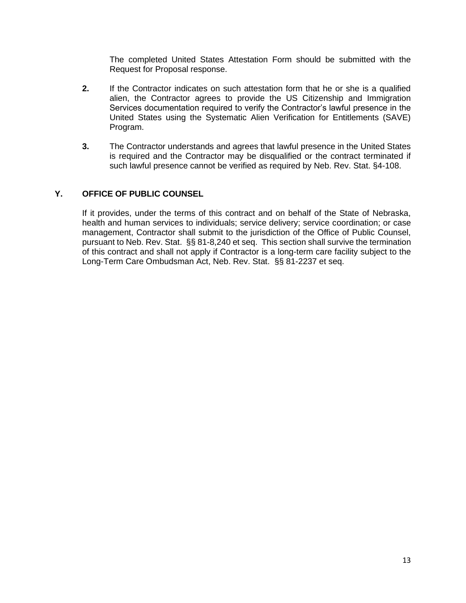The completed United States Attestation Form should be submitted with the Request for Proposal response.

- **2.** If the Contractor indicates on such attestation form that he or she is a qualified alien, the Contractor agrees to provide the US Citizenship and Immigration Services documentation required to verify the Contractor's lawful presence in the United States using the Systematic Alien Verification for Entitlements (SAVE) Program.
- **3.** The Contractor understands and agrees that lawful presence in the United States is required and the Contractor may be disqualified or the contract terminated if such lawful presence cannot be verified as required by Neb. Rev. Stat. §4-108.

# **Y. OFFICE OF PUBLIC COUNSEL**

If it provides, under the terms of this contract and on behalf of the State of Nebraska, health and human services to individuals; service delivery; service coordination; or case management, Contractor shall submit to the jurisdiction of the Office of Public Counsel, pursuant to Neb. Rev. Stat. §§ 81-8,240 et seq. This section shall survive the termination of this contract and shall not apply if Contractor is a long-term care facility subject to the Long-Term Care Ombudsman Act, Neb. Rev. Stat. §§ 81-2237 et seq.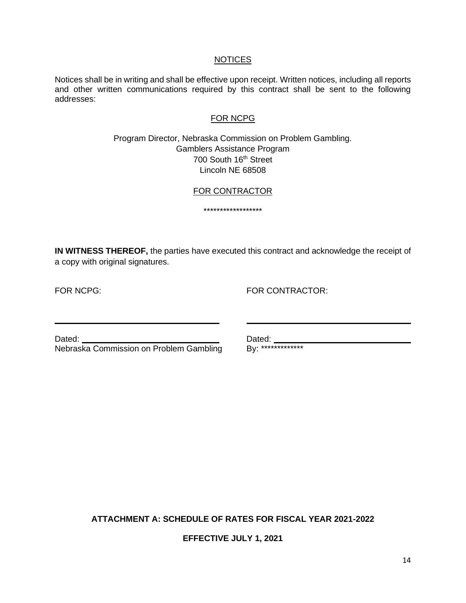#### **NOTICES**

Notices shall be in writing and shall be effective upon receipt. Written notices, including all reports and other written communications required by this contract shall be sent to the following addresses:

#### FOR NCPG

## Program Director, Nebraska Commission on Problem Gambling. Gamblers Assistance Program 700 South 16<sup>th</sup> Street Lincoln NE 68508

#### FOR CONTRACTOR

\*\*\*\*\*\*\*\*\*\*\*\*\*\*\*\*\*\*

**IN WITNESS THEREOF,** the parties have executed this contract and acknowledge the receipt of a copy with original signatures.

FOR NCPG: FOR CONTRACTOR:

Dated: Dated: Dated: Dated: Dated: Dated: Dated: Dated: Dated: Dated: Dated: Department Date Duck Nelson and Problem Gambling By: \*\*\*\*\*\*\*\*\*\*\*\*\*\* Nebraska Commission on Problem Gambling

**ATTACHMENT A: SCHEDULE OF RATES FOR FISCAL YEAR 2021-2022**

**EFFECTIVE JULY 1, 2021**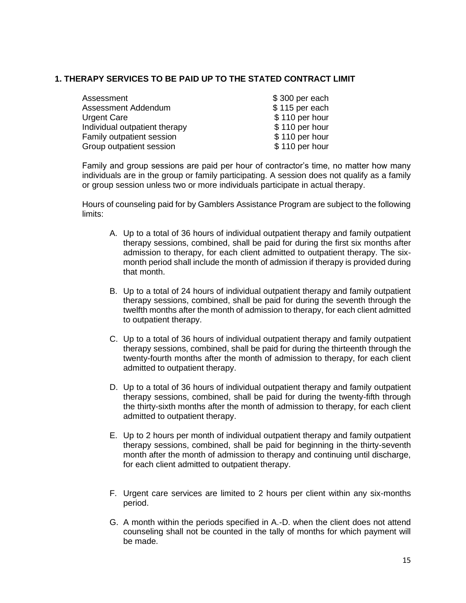## **1. THERAPY SERVICES TO BE PAID UP TO THE STATED CONTRACT LIMIT**

| Assessment                    | \$300 per each |
|-------------------------------|----------------|
| Assessment Addendum           | \$115 per each |
| <b>Urgent Care</b>            | \$110 per hour |
| Individual outpatient therapy | \$110 per hour |
| Family outpatient session     | \$110 per hour |
| Group outpatient session      | \$110 per hour |
|                               |                |

Family and group sessions are paid per hour of contractor's time, no matter how many individuals are in the group or family participating. A session does not qualify as a family or group session unless two or more individuals participate in actual therapy.

Hours of counseling paid for by Gamblers Assistance Program are subject to the following limits:

- A. Up to a total of 36 hours of individual outpatient therapy and family outpatient therapy sessions, combined, shall be paid for during the first six months after admission to therapy, for each client admitted to outpatient therapy. The sixmonth period shall include the month of admission if therapy is provided during that month.
- B. Up to a total of 24 hours of individual outpatient therapy and family outpatient therapy sessions, combined, shall be paid for during the seventh through the twelfth months after the month of admission to therapy, for each client admitted to outpatient therapy.
- C. Up to a total of 36 hours of individual outpatient therapy and family outpatient therapy sessions, combined, shall be paid for during the thirteenth through the twenty-fourth months after the month of admission to therapy, for each client admitted to outpatient therapy.
- D. Up to a total of 36 hours of individual outpatient therapy and family outpatient therapy sessions, combined, shall be paid for during the twenty-fifth through the thirty-sixth months after the month of admission to therapy, for each client admitted to outpatient therapy.
- E. Up to 2 hours per month of individual outpatient therapy and family outpatient therapy sessions, combined, shall be paid for beginning in the thirty-seventh month after the month of admission to therapy and continuing until discharge, for each client admitted to outpatient therapy.
- F. Urgent care services are limited to 2 hours per client within any six-months period.
- G. A month within the periods specified in A.-D. when the client does not attend counseling shall not be counted in the tally of months for which payment will be made.